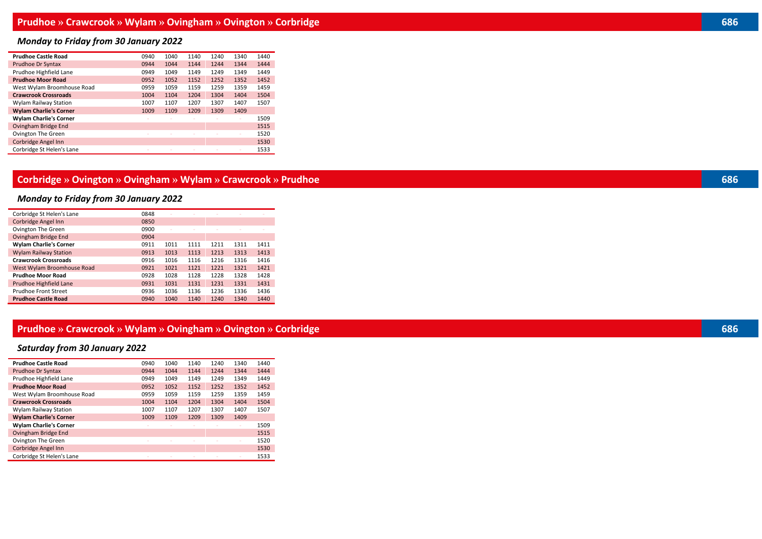# *Monday to Friday from 30 January 2022*

| <b>Prudhoe Castle Road</b>    | 0940   | 1040   | 1140   | 1240 | 1340 | 1440 |
|-------------------------------|--------|--------|--------|------|------|------|
| Prudhoe Dr Syntax             | 0944   | 1044   | 1144   | 1244 | 1344 | 1444 |
| Prudhoe Highfield Lane        | 0949   | 1049   | 1149   | 1249 | 1349 | 1449 |
| <b>Prudhoe Moor Road</b>      | 0952   | 1052   | 1152   | 1252 | 1352 | 1452 |
| West Wylam Broomhouse Road    | 0959   | 1059   | 1159   | 1259 | 1359 | 1459 |
| <b>Crawcrook Crossroads</b>   | 1004   | 1104   | 1204   | 1304 | 1404 | 1504 |
| Wylam Railway Station         | 1007   | 1107   | 1207   | 1307 | 1407 | 1507 |
| <b>Wylam Charlie's Corner</b> | 1009   | 1109   | 1209   | 1309 | 1409 |      |
| <b>Wylam Charlie's Corner</b> |        |        |        |      |      | 1509 |
| Ovingham Bridge End           |        |        |        |      |      | 1515 |
| Ovington The Green            |        |        |        |      |      | 1520 |
| Corbridge Angel Inn           |        |        |        |      |      | 1530 |
| Corbridge St Helen's Lane     | $\sim$ | $\sim$ | $\sim$ |      |      | 1533 |

#### **Corbridge » Ovington » Ovingham » Wylam » Crawcrook » Prudhoe 686**

# *Monday to Friday from 30 January 2022*

| Corbridge St Helen's Lane     | 0848 |      |      |      |      |      |
|-------------------------------|------|------|------|------|------|------|
| Corbridge Angel Inn           | 0850 |      |      |      |      |      |
| Ovington The Green            | 0900 |      |      |      |      |      |
| Ovingham Bridge End           | 0904 |      |      |      |      |      |
| <b>Wylam Charlie's Corner</b> | 0911 | 1011 | 1111 | 1211 | 1311 | 1411 |
| <b>Wylam Railway Station</b>  | 0913 | 1013 | 1113 | 1213 | 1313 | 1413 |
| <b>Crawcrook Crossroads</b>   | 0916 | 1016 | 1116 | 1216 | 1316 | 1416 |
| West Wylam Broomhouse Road    | 0921 | 1021 | 1121 | 1221 | 1321 | 1421 |
| <b>Prudhoe Moor Road</b>      | 0928 | 1028 | 1128 | 1228 | 1328 | 1428 |
| Prudhoe Highfield Lane        | 0931 | 1031 | 1131 | 1231 | 1331 | 1431 |
| Prudhoe Front Street          | 0936 | 1036 | 1136 | 1236 | 1336 | 1436 |
| <b>Prudhoe Castle Road</b>    | 0940 | 1040 | 1140 | 1240 | 1340 | 1440 |

### **Prudhoe » Crawcrook » Wylam » Ovingham » Ovington » Corbridge 686**

# *Saturday from 30 January 2022*

| <b>Prudhoe Castle Road</b>    | 0940                     | 1040                     | 1140                     | 1240 | 1340 | 1440 |
|-------------------------------|--------------------------|--------------------------|--------------------------|------|------|------|
| Prudhoe Dr Syntax             | 0944                     | 1044                     | 1144                     | 1244 | 1344 | 1444 |
| Prudhoe Highfield Lane        | 0949                     | 1049                     | 1149                     | 1249 | 1349 | 1449 |
| <b>Prudhoe Moor Road</b>      | 0952                     | 1052                     | 1152                     | 1252 | 1352 | 1452 |
| West Wylam Broomhouse Road    | 0959                     | 1059                     | 1159                     | 1259 | 1359 | 1459 |
| <b>Crawcrook Crossroads</b>   | 1004                     | 1104                     | 1204                     | 1304 | 1404 | 1504 |
| Wylam Railway Station         | 1007                     | 1107                     | 1207                     | 1307 | 1407 | 1507 |
| <b>Wylam Charlie's Corner</b> | 1009                     | 1109                     | 1209                     | 1309 | 1409 |      |
| <b>Wylam Charlie's Corner</b> |                          |                          |                          |      |      | 1509 |
| Ovingham Bridge End           |                          |                          |                          |      |      | 1515 |
| Ovington The Green            |                          |                          |                          |      |      | 1520 |
| <b>Corbridge Angel Inn</b>    |                          |                          |                          |      |      | 1530 |
| Corbridge St Helen's Lane     | $\overline{\phantom{a}}$ | $\overline{\phantom{a}}$ | $\overline{\phantom{a}}$ |      |      | 1533 |